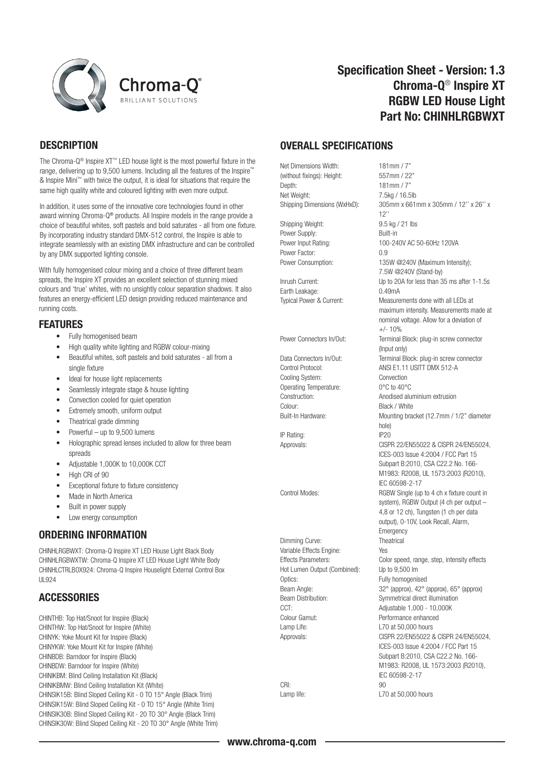



# Specification Sheet - Version: 1.3 Chroma-Q® Inspire XT RGBW LED House Light Part No: CHINHLRGBWXT

# **DESCRIPTION**

The Chroma-Q® Inspire XT™ LED house light is the most powerful fixture in the range, delivering up to 9,500 lumens. Including all the features of the Inspire™ & Inspire Mini™ with twice the output, it is ideal for situations that require the same high quality white and coloured lighting with even more output.

In addition, it uses some of the innovative core technologies found in other award winning Chroma-Q® products. All Inspire models in the range provide a choice of beautiful whites, soft pastels and bold saturates - all from one fixture. By incorporating industry standard DMX-512 control, the Inspire is able to integrate seamlessly with an existing DMX infrastructure and can be controlled by any DMX supported lighting console.

With fully homogenised colour mixing and a choice of three different beam spreads, the Inspire XT provides an excellent selection of stunning mixed colours and 'true' whites, with no unsightly colour separation shadows. It also features an energy-efficient LED design providing reduced maintenance and running costs.

### FEATURES

- Fully homogenised beam
- High quality white lighting and RGBW colour-mixing
- Beautiful whites, soft pastels and bold saturates all from a single fixture
- Ideal for house light replacements
- Seamlessly integrate stage & house lighting
- Convection cooled for quiet operation
- Extremely smooth, uniform output
- Theatrical grade dimming
- Powerful up to 9,500 lumens
- Holographic spread lenses included to allow for three beam spreads
- Adjustable 1,000K to 10,000K CCT
- High CRI of 90
- Exceptional fixture to fixture consistency
- Made in North America
- Built in power supply
- Low energy consumption

# ORDERING INFORMATION

CHINHLRGBWXT: Chroma-Q Inspire XT LED House Light Black Body CHINHLRGBWXTW: Chroma-Q Inspire XT LED House Light White Body CHINHLCTRLBOX924: Chroma-Q Inspire Houselight External Control Box  $HQ2A$ 

# **ACCESSORIES**

CHINTHB: Top Hat/Snoot for Inspire (Black) CHINTHW: Top Hat/Snoot for Inspire (White) CHINYK: Yoke Mount Kit for Inspire (Black) CHINYKW: Yoke Mount Kit for Inspire (White) CHINBDB: Barndoor for Inspire (Black) CHINBDW: Barndoor for Inspire (White) CHINIKBM: Blind Ceiling Installation Kit (Black) CHINIKBMW: Blind Ceiling Installation Kit (White) CHINSIK15B: Blind Sloped Ceiling Kit - 0 TO 15° Angle (Black Trim) CHINSIK15W: Blind Sloped Ceiling Kit - 0 TO 15° Angle (White Trim) CHINSIK30B: Blind Sloped Ceiling Kit - 20 TO 30° Angle (Black Trim) CHINSIK30W: Blind Sloped Ceiling Kit - 20 TO 30° Angle (White Trim)

### OVERALL SPECIFICATIONS

Net Dimensions Width: 181mm / 7"<br>(without fixings): Height: 557mm / 22" (without fixings): Height: Depth: 181mm / 7 Net Weight: 7.5kg / 16.5lb

Shipping Weight: 9.5 kg / 21 lbs Power Supply: Built-in Power Factor: 0.9

Earth Leakage: 0.49mA

Cooling System: Convection Operating Temperature: 0°C to 40°C<br>Construction: Anodised alu Colour: Black / White

IP Rating:

Dimming Curve: Theatrical Variable Effects Engine: Yes Hot Lumen Output (Combined): Up to 9,500 lm Optics: Fully homogenised CCT: Adjustable 1,000 - 10,000K Colour Gamut: Performance enhanced Lamp Life: L70 at 50,000 hours

CRI: 90

Shipping Dimensions (WxHxD): 305mm x 661mm x 305mm / 12'' x 26'' x 12'' Power Input Rating: 100-240V AC 50-60Hz 120VA Power Consumption: 135W @240V (Maximum Intensity); 7.5W @240V (Stand-by) Inrush Current: Up to 20A for less than 35 ms after 1-1.5s Typical Power & Current: Measurements done with all LEDs at maximum intensity. Measurements made at nominal voltage. Allow for a deviation of  $+/- 10%$ Power Connectors In/Out: Terminal Block: plug-in screw connector (Input only) Data Connectors In/Out: Terminal Block: plug-in screw connector Control Protocol: ANSI E1.11 USITT DMX 512-A Anodised aluminium extrusion Built-In Hardware: Mounting bracket (12.7mm / 1/2" diameter hole)<br>IP20 Approvals: CISPR 22/EN55022 & CISPR 24/EN55024, ICES-003 Issue 4:2004 / FCC Part 15 Subpart B:2010, CSA C22.2 No. 166- M1983: R2008, UL 1573:2003 (R2010), IEC 60598-2-17 Control Modes: RGBW Single (up to 4 ch x fixture count in system), RGBW Output (4 ch per output – 4,8 or 12 ch), Tungsten (1 ch per data output), 0-10V, Look Recall, Alarm, Emergency Effects Parameters: Color speed, range, step, intensity effects Beam Angle: 32° (approx), 42° (approx), 65° (approx) Beam Distribution: Symmetrical direct illumination Approvals: CISPR 22/EN55022 & CISPR 24/EN55024, ICES-003 Issue 4:2004 / FCC Part 15 Subpart B:2010, CSA C22.2 No. 166- M1983: R2008, UL 1573:2003 (R2010), IEC 60598-2-17 Lamp life: L70 at 50,000 hours